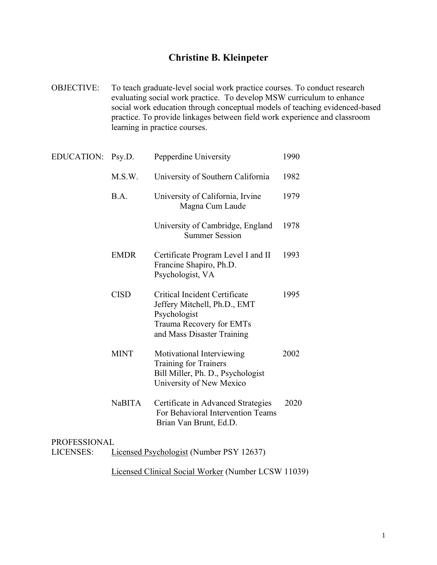## **Christine B. Kleinpeter**

OBJECTIVE: To teach graduate-level social work practice courses. To conduct research evaluating social work practice. To develop MSW curriculum to enhance social work education through conceptual models of teaching evidenced-based practice. To provide linkages between field work experience and classroom learning in practice courses.

| <b>EDUCATION:</b>   | Psy.D.        | Pepperdine University                                                                                                                   | 1990 |
|---------------------|---------------|-----------------------------------------------------------------------------------------------------------------------------------------|------|
|                     | M.S.W.        | University of Southern California                                                                                                       | 1982 |
|                     | B.A.          | University of California, Irvine<br>Magna Cum Laude                                                                                     | 1979 |
|                     |               | University of Cambridge, England<br><b>Summer Session</b>                                                                               | 1978 |
|                     | <b>EMDR</b>   | Certificate Program Level I and II<br>Francine Shapiro, Ph.D.<br>Psychologist, VA                                                       | 1993 |
|                     | <b>CISD</b>   | Critical Incident Certificate<br>Jeffery Mitchell, Ph.D., EMT<br>Psychologist<br>Trauma Recovery for EMTs<br>and Mass Disaster Training | 1995 |
|                     | <b>MINT</b>   | Motivational Interviewing<br><b>Training for Trainers</b><br>Bill Miller, Ph. D., Psychologist<br>University of New Mexico              | 2002 |
|                     | <b>NaBITA</b> | Certificate in Advanced Strategies<br>For Behavioral Intervention Teams<br>Brian Van Brunt, Ed.D.                                       | 2020 |
| <b>PROFESSIONAL</b> |               |                                                                                                                                         |      |

LICENSES: Licensed Psychologist (Number PSY 12637)

Licensed Clinical Social Worker (Number LCSW 11039)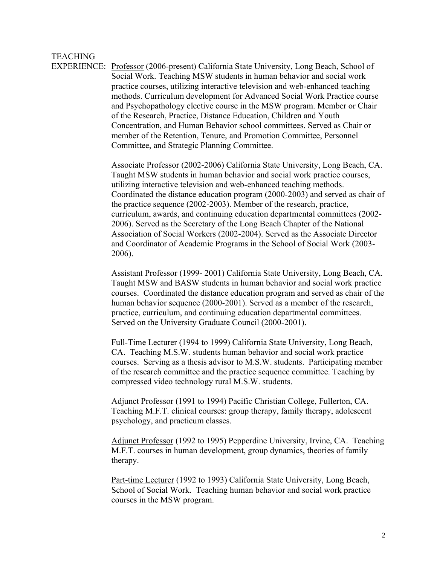## **TEACHING**

EXPERIENCE: Professor (2006-present) California State University, Long Beach, School of Social Work. Teaching MSW students in human behavior and social work practice courses, utilizing interactive television and web-enhanced teaching methods. Curriculum development for Advanced Social Work Practice course and Psychopathology elective course in the MSW program. Member or Chair of the Research, Practice, Distance Education, Children and Youth Concentration, and Human Behavior school committees. Served as Chair or member of the Retention, Tenure, and Promotion Committee, Personnel Committee, and Strategic Planning Committee.

> Associate Professor (2002-2006) California State University, Long Beach, CA. Taught MSW students in human behavior and social work practice courses, utilizing interactive television and web-enhanced teaching methods. Coordinated the distance education program (2000-2003) and served as chair of the practice sequence (2002-2003). Member of the research, practice, curriculum, awards, and continuing education departmental committees (2002- 2006). Served as the Secretary of the Long Beach Chapter of the National Association of Social Workers (2002-2004). Served as the Associate Director and Coordinator of Academic Programs in the School of Social Work (2003- 2006).

> Assistant Professor (1999- 2001) California State University, Long Beach, CA. Taught MSW and BASW students in human behavior and social work practice courses. Coordinated the distance education program and served as chair of the human behavior sequence (2000-2001). Served as a member of the research, practice, curriculum, and continuing education departmental committees. Served on the University Graduate Council (2000-2001).

> Full-Time Lecturer (1994 to 1999) California State University, Long Beach, CA. Teaching M.S.W. students human behavior and social work practice courses. Serving as a thesis advisor to M.S.W. students. Participating member of the research committee and the practice sequence committee. Teaching by compressed video technology rural M.S.W. students.

Adjunct Professor (1991 to 1994) Pacific Christian College, Fullerton, CA. Teaching M.F.T. clinical courses: group therapy, family therapy, adolescent psychology, and practicum classes.

Adjunct Professor (1992 to 1995) Pepperdine University, Irvine, CA. Teaching M.F.T. courses in human development, group dynamics, theories of family therapy.

Part-time Lecturer (1992 to 1993) California State University, Long Beach, School of Social Work. Teaching human behavior and social work practice courses in the MSW program.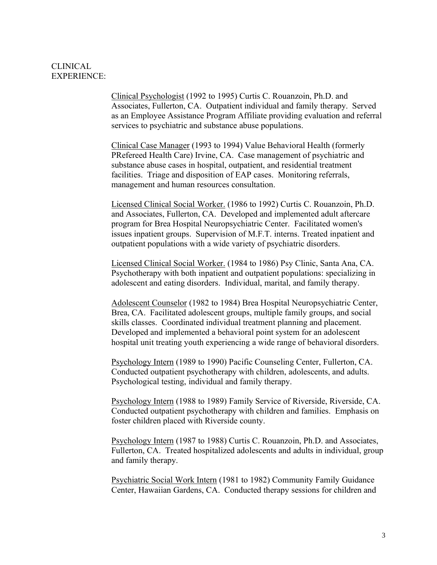## CLINICAL EXPERIENCE:

Clinical Psychologist (1992 to 1995) Curtis C. Rouanzoin, Ph.D. and Associates, Fullerton, CA. Outpatient individual and family therapy. Served as an Employee Assistance Program Affiliate providing evaluation and referral services to psychiatric and substance abuse populations.

Clinical Case Manager (1993 to 1994) Value Behavioral Health (formerly PRefereed Health Care) Irvine, CA. Case management of psychiatric and substance abuse cases in hospital, outpatient, and residential treatment facilities. Triage and disposition of EAP cases. Monitoring referrals, management and human resources consultation.

Licensed Clinical Social Worker. (1986 to 1992) Curtis C. Rouanzoin, Ph.D. and Associates, Fullerton, CA. Developed and implemented adult aftercare program for Brea Hospital Neuropsychiatric Center. Facilitated women's issues inpatient groups. Supervision of M.F.T. interns. Treated inpatient and outpatient populations with a wide variety of psychiatric disorders.

Licensed Clinical Social Worker. (1984 to 1986) Psy Clinic, Santa Ana, CA. Psychotherapy with both inpatient and outpatient populations: specializing in adolescent and eating disorders. Individual, marital, and family therapy.

Adolescent Counselor (1982 to 1984) Brea Hospital Neuropsychiatric Center, Brea, CA. Facilitated adolescent groups, multiple family groups, and social skills classes. Coordinated individual treatment planning and placement. Developed and implemented a behavioral point system for an adolescent hospital unit treating youth experiencing a wide range of behavioral disorders.

Psychology Intern (1989 to 1990) Pacific Counseling Center, Fullerton, CA. Conducted outpatient psychotherapy with children, adolescents, and adults. Psychological testing, individual and family therapy.

Psychology Intern (1988 to 1989) Family Service of Riverside, Riverside, CA. Conducted outpatient psychotherapy with children and families. Emphasis on foster children placed with Riverside county.

Psychology Intern (1987 to 1988) Curtis C. Rouanzoin, Ph.D. and Associates, Fullerton, CA. Treated hospitalized adolescents and adults in individual, group and family therapy.

Psychiatric Social Work Intern (1981 to 1982) Community Family Guidance Center, Hawaiian Gardens, CA. Conducted therapy sessions for children and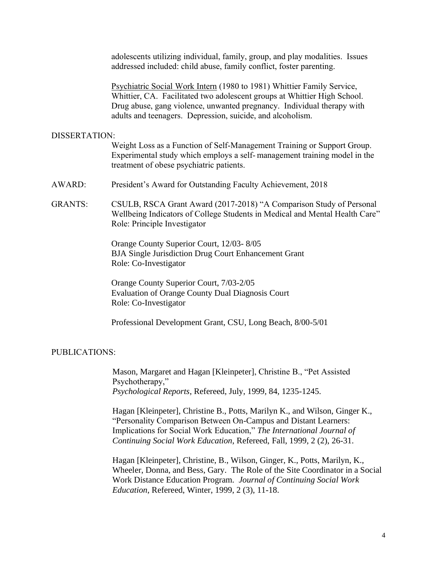adolescents utilizing individual, family, group, and play modalities. Issues addressed included: child abuse, family conflict, foster parenting.

Psychiatric Social Work Intern (1980 to 1981) Whittier Family Service, Whittier, CA. Facilitated two adolescent groups at Whittier High School. Drug abuse, gang violence, unwanted pregnancy. Individual therapy with adults and teenagers. Depression, suicide, and alcoholism.

#### DISSERTATION:

Weight Loss as a Function of Self-Management Training or Support Group. Experimental study which employs a self- management training model in the treatment of obese psychiatric patients.

- AWARD: President's Award for Outstanding Faculty Achievement, 2018
- GRANTS: CSULB, RSCA Grant Award (2017-2018) "A Comparison Study of Personal Wellbeing Indicators of College Students in Medical and Mental Health Care" Role: Principle Investigator

Orange County Superior Court, 12/03- 8/05 BJA Single Jurisdiction Drug Court Enhancement Grant Role: Co-Investigator

 Orange County Superior Court, 7/03-2/05 Evaluation of Orange County Dual Diagnosis Court Role: Co-Investigator

Professional Development Grant, CSU, Long Beach, 8/00-5/01

#### PUBLICATIONS:

Mason, Margaret and Hagan [Kleinpeter], Christine B., "Pet Assisted Psychotherapy," *Psychological Reports*, Refereed, July, 1999, 84, 1235-1245.

Hagan [Kleinpeter], Christine B., Potts, Marilyn K., and Wilson, Ginger K., "Personality Comparison Between On-Campus and Distant Learners: Implications for Social Work Education," *The International Journal of Continuing Social Work Education*, Refereed, Fall, 1999, 2 (2), 26-31.

Hagan [Kleinpeter], Christine, B., Wilson, Ginger, K., Potts, Marilyn, K., Wheeler, Donna, and Bess, Gary. The Role of the Site Coordinator in a Social Work Distance Education Program. *Journal of Continuing Social Work Education*, Refereed, Winter, 1999, 2 (3), 11-18.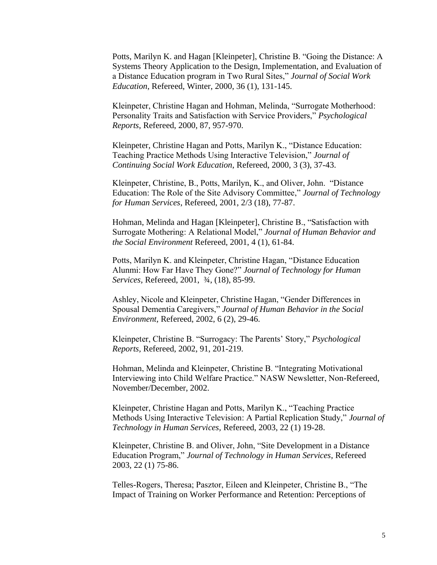Potts, Marilyn K. and Hagan [Kleinpeter], Christine B. "Going the Distance: A Systems Theory Application to the Design, Implementation, and Evaluation of a Distance Education program in Two Rural Sites," *Journal of Social Work Education*, Refereed, Winter, 2000, 36 (1), 131-145.

Kleinpeter, Christine Hagan and Hohman, Melinda, "Surrogate Motherhood: Personality Traits and Satisfaction with Service Providers," *Psychological Reports*, Refereed, 2000, 87, 957-970.

Kleinpeter, Christine Hagan and Potts, Marilyn K., "Distance Education: Teaching Practice Methods Using Interactive Television," *Journal of Continuing Social Work Education*, Refereed, 2000, 3 (3), 37-43.

Kleinpeter, Christine, B., Potts, Marilyn, K., and Oliver, John. "Distance Education: The Role of the Site Advisory Committee," *Journal of Technology for Human Services*, Refereed, 2001, 2/3 (18), 77-87.

Hohman, Melinda and Hagan [Kleinpeter], Christine B., "Satisfaction with Surrogate Mothering: A Relational Model," *Journal of Human Behavior and the Social Environment* Refereed, 2001, 4 (1), 61-84.

Potts, Marilyn K. and Kleinpeter, Christine Hagan, "Distance Education Alunmi: How Far Have They Gone?" *Journal of Technology for Human Services,* Refereed, 2001, ¾, (18), 85-99.

Ashley, Nicole and Kleinpeter, Christine Hagan, "Gender Differences in Spousal Dementia Caregivers," *Journal of Human Behavior in the Social Environment,* Refereed, 2002, 6 (2), 29-46.

Kleinpeter, Christine B. "Surrogacy: The Parents' Story," *Psychological Reports,* Refereed, 2002, 91, 201-219.

Hohman, Melinda and Kleinpeter, Christine B. "Integrating Motivational Interviewing into Child Welfare Practice." NASW Newsletter, Non-Refereed, November/December, 2002.

Kleinpeter, Christine Hagan and Potts, Marilyn K., "Teaching Practice Methods Using Interactive Television: A Partial Replication Study," *Journal of Technology in Human Services,* Refereed, 2003, 22 (1) 19-28.

Kleinpeter, Christine B. and Oliver, John, "Site Development in a Distance Education Program," *Journal of Technology in Human Services*, Refereed 2003, 22 (1) 75-86.

Telles-Rogers, Theresa; Pasztor, Eileen and Kleinpeter, Christine B., "The Impact of Training on Worker Performance and Retention: Perceptions of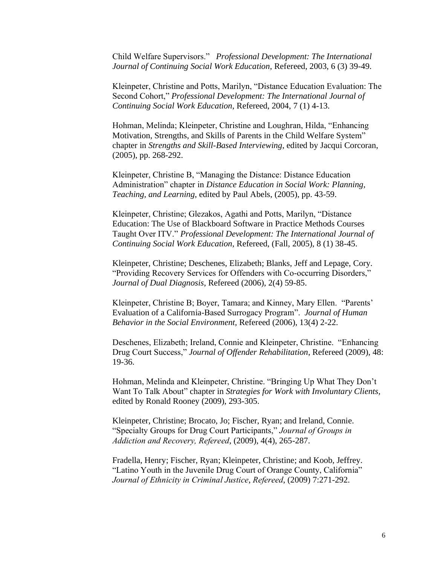Child Welfare Supervisors." *Professional Development: The International Journal of Continuing Social Work Education*, Refereed, 2003, 6 (3) 39-49.

Kleinpeter, Christine and Potts, Marilyn, "Distance Education Evaluation: The Second Cohort," *Professional Development: The International Journal of Continuing Social Work Education*, Refereed, 2004, 7 (1) 4-13.

Hohman, Melinda; Kleinpeter, Christine and Loughran, Hilda, "Enhancing Motivation, Strengths, and Skills of Parents in the Child Welfare System" chapter in *Strengths and Skill-Based Interviewing*, edited by Jacqui Corcoran, (2005), pp. 268-292.

Kleinpeter, Christine B, "Managing the Distance: Distance Education Administration" chapter in *Distance Education in Social Work: Planning, Teaching, and Learning*, edited by Paul Abels, (2005), pp. 43-59.

Kleinpeter, Christine; Glezakos, Agathi and Potts, Marilyn, "Distance Education: The Use of Blackboard Software in Practice Methods Courses Taught Over ITV." *Professional Development: The International Journal of Continuing Social Work Education*, Refereed, (Fall, 2005), 8 (1) 38-45.

Kleinpeter, Christine; Deschenes, Elizabeth; Blanks, Jeff and Lepage, Cory. "Providing Recovery Services for Offenders with Co-occurring Disorders," *Journal of Dual Diagnosis*, Refereed (2006), 2(4) 59-85.

Kleinpeter, Christine B; Boyer, Tamara; and Kinney, Mary Ellen. "Parents' Evaluation of a California-Based Surrogacy Program". *Journal of Human Behavior in the Social Environment,* Refereed (2006), 13(4) 2-22.

Deschenes, Elizabeth; Ireland, Connie and Kleinpeter, Christine. "Enhancing Drug Court Success," *Journal of Offender Rehabilitation*, Refereed (2009), 48: 19-36.

Hohman, Melinda and Kleinpeter, Christine. "Bringing Up What They Don't Want To Talk About" chapter in *Strategies for Work with Involuntary Clients,* edited by Ronald Rooney (2009), 293-305.

Kleinpeter, Christine; Brocato, Jo; Fischer, Ryan; and Ireland, Connie. "Specialty Groups for Drug Court Participants," *Journal of Groups in Addiction and Recovery, Refereed*, (2009), 4(4), 265-287.

Fradella, Henry; Fischer, Ryan; Kleinpeter, Christine; and Koob, Jeffrey. "Latino Youth in the Juvenile Drug Court of Orange County, California" *Journal of Ethnicity in Criminal Justice*, *Refereed*, (2009) 7:271-292.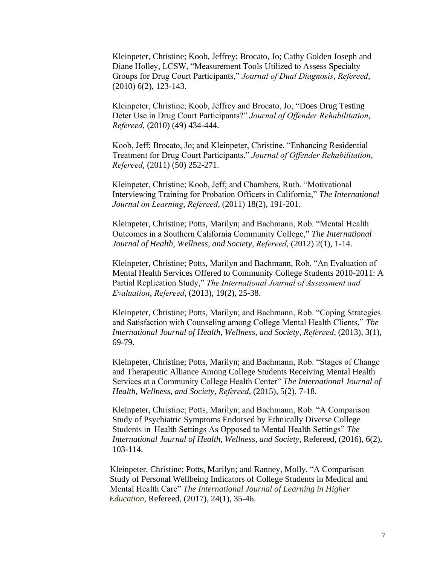Kleinpeter, Christine; Koob, Jeffrey; Brocato, Jo; Cathy Golden Joseph and Diane Holley, LCSW, "Measurement Tools Utilized to Assess Specialty Groups for Drug Court Participants," *Journal of Dual Diagnosis*, *Refereed*, (2010) 6(2), 123-143.

Kleinpeter, Christine; Koob, Jeffrey and Brocato, Jo, "Does Drug Testing Deter Use in Drug Court Participants?" *Journal of Offender Rehabilitation*, *Refereed*, (2010) (49) 434-444.

Koob, Jeff; Brocato, Jo; and Kleinpeter, Christine. "Enhancing Residential Treatment for Drug Court Participants," *Journal of Offender Rehabilitation*, *Refereed*, (2011) (50) 252-271.

Kleinpeter, Christine; Koob, Jeff; and Chambers, Ruth. "Motivational Interviewing Training for Probation Officers in California," *The International Journal on Learning*, *Refereed*, (2011) 18(2), 191-201.

Kleinpeter, Christine; Potts, Marilyn; and Bachmann, Rob. "Mental Health Outcomes in a Southern California Community College," *The International Journal of Health, Wellness, and Society*, *Refereed*, (2012) 2(1), 1-14.

Kleinpeter, Christine; Potts, Marilyn and Bachmann, Rob. "An Evaluation of Mental Health Services Offered to Community College Students 2010-2011: A Partial Replication Study," *The International Journal of Assessment and Evaluation*, *Refereed*, (2013), 19(2), 25-38.

Kleinpeter, Christine; Potts, Marilyn; and Bachmann, Rob. "Coping Strategies and Satisfaction with Counseling among College Mental Health Clients," *The International Journal of Health, Wellness, and Society*, *Refereed*, (2013), 3(1), 69-79.

Kleinpeter, Christine; Potts, Marilyn; and Bachmann, Rob. "Stages of Change and Therapeutic Alliance Among College Students Receiving Mental Health Services at a Community College Health Center" *The International Journal of Health, Wellness, and Society*, *Refereed*, (2015), 5(2), 7-18.

Kleinpeter, Christine; Potts, Marilyn; and Bachmann, Rob. "A Comparison Study of Psychiatric Symptoms Endorsed by Ethnically Diverse College Students in Health Settings As Opposed to Mental Health Settings" *The International Journal of Health, Wellness, and Society*, Refereed, (2016), 6(2), 103-114.

Kleinpeter, Christine; Potts, Marilyn; and Ranney, Molly. "A Comparison Study of Personal Wellbeing Indicators of College Students in Medical and Mental Health Care" *The International Journal of Learning in Higher Education*, Refereed, (2017), 24(1), 35-46.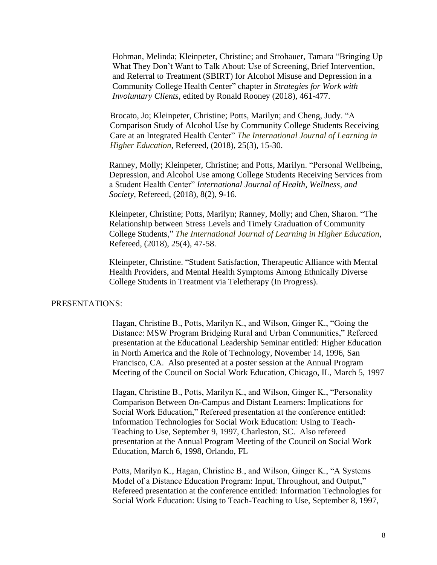Hohman, Melinda; Kleinpeter, Christine; and Strohauer, Tamara "Bringing Up What They Don't Want to Talk About: Use of Screening, Brief Intervention, and Referral to Treatment (SBIRT) for Alcohol Misuse and Depression in a Community College Health Center" chapter in *Strategies for Work with Involuntary Clients,* edited by Ronald Rooney (2018), 461-477.

Brocato, Jo; Kleinpeter, Christine; Potts, Marilyn; and Cheng, Judy. "A Comparison Study of Alcohol Use by Community College Students Receiving Care at an Integrated Health Center" *The International Journal of Learning in Higher Education*, Refereed, (2018), 25(3), 15-30.

Ranney, Molly; Kleinpeter, Christine; and Potts, Marilyn. "Personal Wellbeing, Depression, and Alcohol Use among College Students Receiving Services from a Student Health Center" *International Journal of Health, Wellness, and Society*, Refereed, (2018), 8(2), 9-16.

Kleinpeter, Christine; Potts, Marilyn; Ranney, Molly; and Chen, Sharon. "The Relationship between Stress Levels and Timely Graduation of Community College Students," *The International Journal of Learning in Higher Education*, Refereed, (2018), 25(4), 47-58.

Kleinpeter, Christine. "Student Satisfaction, Therapeutic Alliance with Mental Health Providers, and Mental Health Symptoms Among Ethnically Diverse College Students in Treatment via Teletherapy (In Progress).

#### PRESENTATIONS:

Hagan, Christine B., Potts, Marilyn K., and Wilson, Ginger K., "Going the Distance: MSW Program Bridging Rural and Urban Communities," Refereed presentation at the Educational Leadership Seminar entitled: Higher Education in North America and the Role of Technology, November 14, 1996, San Francisco, CA. Also presented at a poster session at the Annual Program Meeting of the Council on Social Work Education, Chicago, IL, March 5, 1997

Hagan, Christine B., Potts, Marilyn K., and Wilson, Ginger K., "Personality Comparison Between On-Campus and Distant Learners: Implications for Social Work Education," Refereed presentation at the conference entitled: Information Technologies for Social Work Education: Using to Teach-Teaching to Use, September 9, 1997, Charleston, SC. Also refereed presentation at the Annual Program Meeting of the Council on Social Work Education, March 6, 1998, Orlando, FL

Potts, Marilyn K., Hagan, Christine B., and Wilson, Ginger K., "A Systems Model of a Distance Education Program: Input, Throughout, and Output," Refereed presentation at the conference entitled: Information Technologies for Social Work Education: Using to Teach-Teaching to Use, September 8, 1997,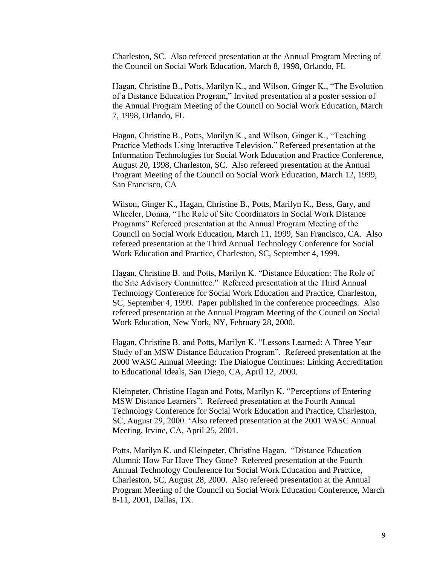Charleston, SC. Also refereed presentation at the Annual Program Meeting of the Council on Social Work Education, March 8, 1998, Orlando, FL

Hagan, Christine B., Potts, Marilyn K., and Wilson, Ginger K., "The Evolution of a Distance Education Program," Invited presentation at a poster session of the Annual Program Meeting of the Council on Social Work Education, March 7, 1998, Orlando, FL

Hagan, Christine B., Potts, Marilyn K., and Wilson, Ginger K., "Teaching Practice Methods Using Interactive Television," Refereed presentation at the Information Technologies for Social Work Education and Practice Conference, August 20, 1998, Charleston, SC. Also refereed presentation at the Annual Program Meeting of the Council on Social Work Education, March 12, 1999, San Francisco, CA

Wilson, Ginger K., Hagan, Christine B., Potts, Marilyn K., Bess, Gary, and Wheeler, Donna, "The Role of Site Coordinators in Social Work Distance Programs" Refereed presentation at the Annual Program Meeting of the Council on Social Work Education, March 11, 1999, San Francisco, CA. Also refereed presentation at the Third Annual Technology Conference for Social Work Education and Practice, Charleston, SC, September 4, 1999.

Hagan, Christine B. and Potts, Marilyn K. "Distance Education: The Role of the Site Advisory Committee." Refereed presentation at the Third Annual Technology Conference for Social Work Education and Practice, Charleston, SC, September 4, 1999. Paper published in the conference proceedings. Also refereed presentation at the Annual Program Meeting of the Council on Social Work Education, New York, NY, February 28, 2000.

Hagan, Christine B. and Potts, Marilyn K. "Lessons Learned: A Three Year Study of an MSW Distance Education Program". Refereed presentation at the 2000 WASC Annual Meeting: The Dialogue Continues: Linking Accreditation to Educational Ideals, San Diego, CA, April 12, 2000.

Kleinpeter, Christine Hagan and Potts, Marilyn K. "Perceptions of Entering MSW Distance Learners". Refereed presentation at the Fourth Annual Technology Conference for Social Work Education and Practice, Charleston, SC, August 29, 2000. 'Also refereed presentation at the 2001 WASC Annual Meeting, Irvine, CA, April 25, 2001.

Potts, Marilyn K. and Kleinpeter, Christine Hagan. "Distance Education Alumni: How Far Have They Gone? Refereed presentation at the Fourth Annual Technology Conference for Social Work Education and Practice, Charleston, SC, August 28, 2000. Also refereed presentation at the Annual Program Meeting of the Council on Social Work Education Conference, March 8-11, 2001, Dallas, TX.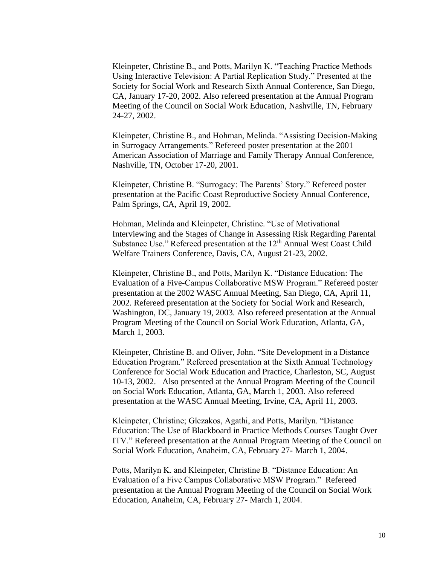Kleinpeter, Christine B., and Potts, Marilyn K. "Teaching Practice Methods Using Interactive Television: A Partial Replication Study." Presented at the Society for Social Work and Research Sixth Annual Conference, San Diego, CA, January 17-20, 2002. Also refereed presentation at the Annual Program Meeting of the Council on Social Work Education, Nashville, TN, February 24-27, 2002.

Kleinpeter, Christine B., and Hohman, Melinda. "Assisting Decision-Making in Surrogacy Arrangements." Refereed poster presentation at the 2001 American Association of Marriage and Family Therapy Annual Conference, Nashville, TN, October 17-20, 2001.

Kleinpeter, Christine B. "Surrogacy: The Parents' Story." Refereed poster presentation at the Pacific Coast Reproductive Society Annual Conference, Palm Springs, CA, April 19, 2002.

Hohman, Melinda and Kleinpeter, Christine. "Use of Motivational Interviewing and the Stages of Change in Assessing Risk Regarding Parental Substance Use." Refereed presentation at the 12<sup>th</sup> Annual West Coast Child Welfare Trainers Conference, Davis, CA, August 21-23, 2002.

Kleinpeter, Christine B., and Potts, Marilyn K. "Distance Education: The Evaluation of a Five-Campus Collaborative MSW Program." Refereed poster presentation at the 2002 WASC Annual Meeting, San Diego, CA, April 11, 2002. Refereed presentation at the Society for Social Work and Research, Washington, DC, January 19, 2003. Also refereed presentation at the Annual Program Meeting of the Council on Social Work Education, Atlanta, GA, March 1, 2003.

Kleinpeter, Christine B. and Oliver, John. "Site Development in a Distance Education Program." Refereed presentation at the Sixth Annual Technology Conference for Social Work Education and Practice, Charleston, SC, August 10-13, 2002. Also presented at the Annual Program Meeting of the Council on Social Work Education, Atlanta, GA, March 1, 2003. Also refereed presentation at the WASC Annual Meeting, Irvine, CA, April 11, 2003.

Kleinpeter, Christine; Glezakos, Agathi, and Potts, Marilyn. "Distance Education: The Use of Blackboard in Practice Methods Courses Taught Over ITV." Refereed presentation at the Annual Program Meeting of the Council on Social Work Education, Anaheim, CA, February 27- March 1, 2004.

Potts, Marilyn K. and Kleinpeter, Christine B. "Distance Education: An Evaluation of a Five Campus Collaborative MSW Program." Refereed presentation at the Annual Program Meeting of the Council on Social Work Education, Anaheim, CA, February 27- March 1, 2004.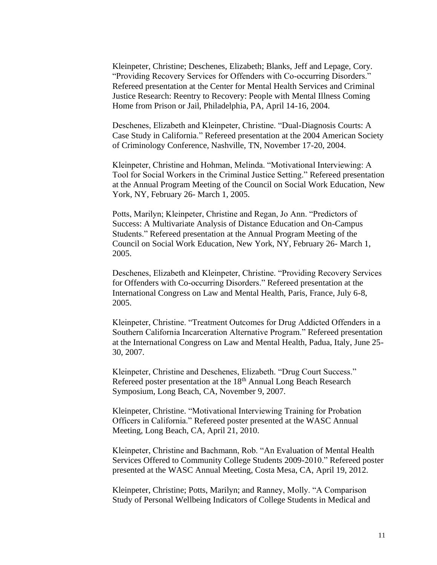Kleinpeter, Christine; Deschenes, Elizabeth; Blanks, Jeff and Lepage, Cory. "Providing Recovery Services for Offenders with Co-occurring Disorders." Refereed presentation at the Center for Mental Health Services and Criminal Justice Research: Reentry to Recovery: People with Mental Illness Coming Home from Prison or Jail, Philadelphia, PA, April 14-16, 2004.

Deschenes, Elizabeth and Kleinpeter, Christine. "Dual-Diagnosis Courts: A Case Study in California." Refereed presentation at the 2004 American Society of Criminology Conference, Nashville, TN, November 17-20, 2004.

Kleinpeter, Christine and Hohman, Melinda. "Motivational Interviewing: A Tool for Social Workers in the Criminal Justice Setting." Refereed presentation at the Annual Program Meeting of the Council on Social Work Education, New York, NY, February 26- March 1, 2005.

Potts, Marilyn; Kleinpeter, Christine and Regan, Jo Ann. "Predictors of Success: A Multivariate Analysis of Distance Education and On-Campus Students." Refereed presentation at the Annual Program Meeting of the Council on Social Work Education, New York, NY, February 26- March 1, 2005.

Deschenes, Elizabeth and Kleinpeter, Christine. "Providing Recovery Services for Offenders with Co-occurring Disorders." Refereed presentation at the International Congress on Law and Mental Health, Paris, France, July 6-8, 2005.

Kleinpeter, Christine. "Treatment Outcomes for Drug Addicted Offenders in a Southern California Incarceration Alternative Program." Refereed presentation at the International Congress on Law and Mental Health, Padua, Italy, June 25- 30, 2007.

Kleinpeter, Christine and Deschenes, Elizabeth. "Drug Court Success." Refereed poster presentation at the 18<sup>th</sup> Annual Long Beach Research Symposium, Long Beach, CA, November 9, 2007.

Kleinpeter, Christine. "Motivational Interviewing Training for Probation Officers in California." Refereed poster presented at the WASC Annual Meeting, Long Beach, CA, April 21, 2010.

Kleinpeter, Christine and Bachmann, Rob. "An Evaluation of Mental Health Services Offered to Community College Students 2009-2010." Refereed poster presented at the WASC Annual Meeting, Costa Mesa, CA, April 19, 2012.

Kleinpeter, Christine; Potts, Marilyn; and Ranney, Molly. "A Comparison Study of Personal Wellbeing Indicators of College Students in Medical and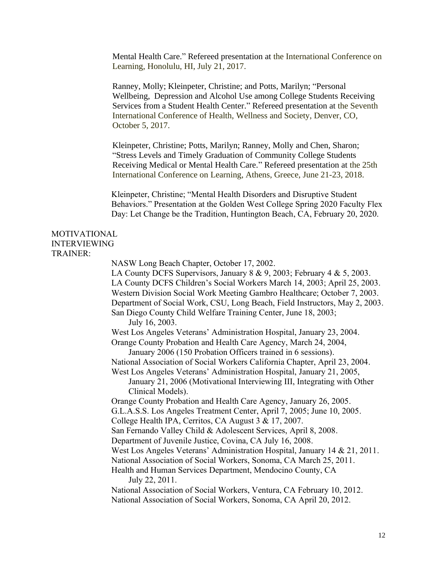Mental Health Care." Refereed presentation at the International Conference on Learning, Honolulu, HI, July 21, 2017.

Ranney, Molly; Kleinpeter, Christine; and Potts, Marilyn; "Personal Wellbeing, Depression and Alcohol Use among College Students Receiving Services from a Student Health Center." Refereed presentation at the Seventh International Conference of Health, Wellness and Society, Denver, CO, October 5, 2017.

Kleinpeter, Christine; Potts, Marilyn; Ranney, Molly and Chen, Sharon; "Stress Levels and Timely Graduation of Community College Students Receiving Medical or Mental Health Care." Refereed presentation at the 25th International Conference on Learning, Athens, Greece, June 21-23, 2018.

Kleinpeter, Christine; "Mental Health Disorders and Disruptive Student Behaviors." Presentation at the Golden West College Spring 2020 Faculty Flex Day: Let Change be the Tradition, Huntington Beach, CA, February 20, 2020.

### MOTIVATIONAL INTERVIEWING TRAINER:

NASW Long Beach Chapter, October 17, 2002. LA County DCFS Supervisors, January 8 & 9, 2003; February 4 & 5, 2003. LA County DCFS Children's Social Workers March 14, 2003; April 25, 2003. Western Division Social Work Meeting Gambro Healthcare; October 7, 2003. Department of Social Work, CSU, Long Beach, Field Instructors, May 2, 2003. San Diego County Child Welfare Training Center, June 18, 2003; July 16, 2003. West Los Angeles Veterans' Administration Hospital, January 23, 2004. Orange County Probation and Health Care Agency, March 24, 2004, January 2006 (150 Probation Officers trained in 6 sessions). National Association of Social Workers California Chapter, April 23, 2004. West Los Angeles Veterans' Administration Hospital, January 21, 2005, January 21, 2006 (Motivational Interviewing III, Integrating with Other Clinical Models). Orange County Probation and Health Care Agency, January 26, 2005. G.L.A.S.S. Los Angeles Treatment Center, April 7, 2005; June 10, 2005. College Health IPA, Cerritos, CA August 3 & 17, 2007. San Fernando Valley Child & Adolescent Services, April 8, 2008. Department of Juvenile Justice, Covina, CA July 16, 2008. West Los Angeles Veterans' Administration Hospital, January 14 & 21, 2011. National Association of Social Workers, Sonoma, CA March 25, 2011. Health and Human Services Department, Mendocino County, CA July 22, 2011. National Association of Social Workers, Ventura, CA February 10, 2012. National Association of Social Workers, Sonoma, CA April 20, 2012.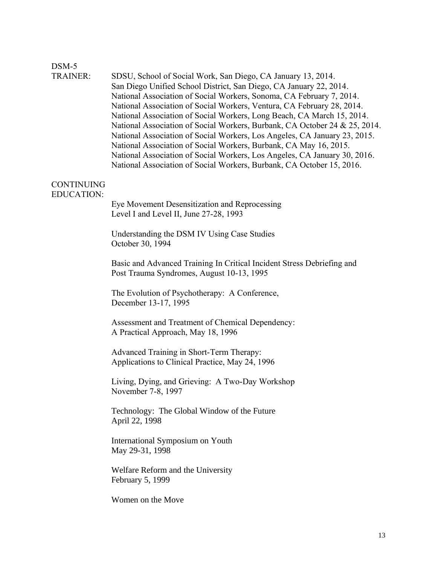# DSM-5

| <b>TRAINER:</b> | SDSU, School of Social Work, San Diego, CA January 13, 2014.               |
|-----------------|----------------------------------------------------------------------------|
|                 | San Diego Unified School District, San Diego, CA January 22, 2014.         |
|                 | National Association of Social Workers, Sonoma, CA February 7, 2014.       |
|                 | National Association of Social Workers, Ventura, CA February 28, 2014.     |
|                 | National Association of Social Workers, Long Beach, CA March 15, 2014.     |
|                 | National Association of Social Workers, Burbank, CA October 24 & 25, 2014. |
|                 | National Association of Social Workers, Los Angeles, CA January 23, 2015.  |
|                 | National Association of Social Workers, Burbank, CA May 16, 2015.          |
|                 | National Association of Social Workers, Los Angeles, CA January 30, 2016.  |
|                 | National Association of Social Workers, Burbank, CA October 15, 2016.      |
|                 |                                                                            |
|                 |                                                                            |

### CONTINUING EDUCATION:

Eye Movement Desensitization and Reprocessing Level I and Level II, June 27-28, 1993

 Understanding the DSM IV Using Case Studies October 30, 1994

Basic and Advanced Training In Critical Incident Stress Debriefing and Post Trauma Syndromes, August 10-13, 1995

The Evolution of Psychotherapy: A Conference, December 13-17, 1995

Assessment and Treatment of Chemical Dependency: A Practical Approach, May 18, 1996

Advanced Training in Short-Term Therapy: Applications to Clinical Practice, May 24, 1996

Living, Dying, and Grieving: A Two-Day Workshop November 7-8, 1997

 Technology: The Global Window of the Future April 22, 1998

 International Symposium on Youth May 29-31, 1998

 Welfare Reform and the University February 5, 1999

Women on the Move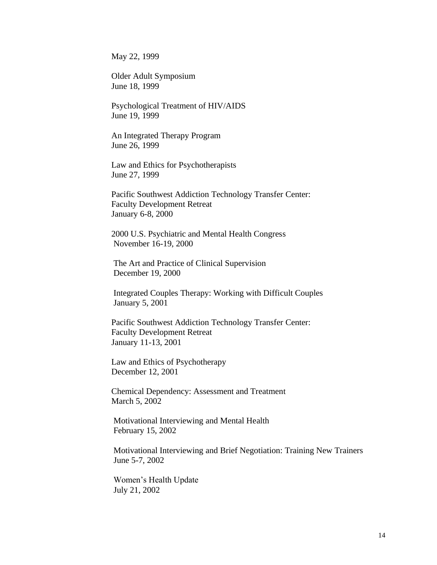May 22, 1999

 Older Adult Symposium June 18, 1999

 Psychological Treatment of HIV/AIDS June 19, 1999

 An Integrated Therapy Program June 26, 1999

 Law and Ethics for Psychotherapists June 27, 1999

 Pacific Southwest Addiction Technology Transfer Center: Faculty Development Retreat January 6-8, 2000

 2000 U.S. Psychiatric and Mental Health Congress November 16-19, 2000

 The Art and Practice of Clinical Supervision December 19, 2000

 Integrated Couples Therapy: Working with Difficult Couples January 5, 2001

 Pacific Southwest Addiction Technology Transfer Center: Faculty Development Retreat January 11-13, 2001

 Law and Ethics of Psychotherapy December 12, 2001

 Chemical Dependency: Assessment and Treatment March 5, 2002

 Motivational Interviewing and Mental Health February 15, 2002

 Motivational Interviewing and Brief Negotiation: Training New Trainers June 5-7, 2002

 Women's Health Update July 21, 2002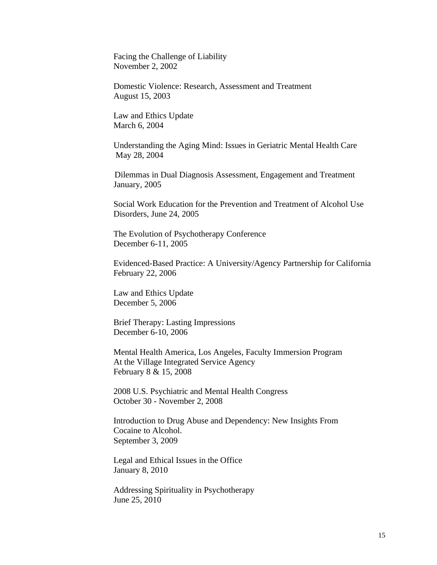Facing the Challenge of Liability November 2, 2002

 Domestic Violence: Research, Assessment and Treatment August 15, 2003

 Law and Ethics Update March 6, 2004

 Understanding the Aging Mind: Issues in Geriatric Mental Health Care May 28, 2004

Dilemmas in Dual Diagnosis Assessment, Engagement and Treatment January, 2005

 Social Work Education for the Prevention and Treatment of Alcohol Use Disorders, June 24, 2005

 The Evolution of Psychotherapy Conference December 6-11, 2005

 Evidenced-Based Practice: A University/Agency Partnership for California February 22, 2006

 Law and Ethics Update December 5, 2006

 Brief Therapy: Lasting Impressions December 6-10, 2006

 Mental Health America, Los Angeles, Faculty Immersion Program At the Village Integrated Service Agency February 8 & 15, 2008

 2008 U.S. Psychiatric and Mental Health Congress October 30 - November 2, 2008

Introduction to Drug Abuse and Dependency: New Insights From Cocaine to Alcohol. September 3, 2009

Legal and Ethical Issues in the Office January 8, 2010

Addressing Spirituality in Psychotherapy June 25, 2010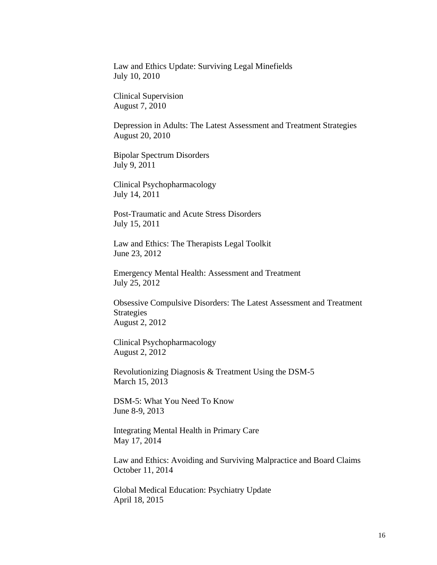Law and Ethics Update: Surviving Legal Minefields July 10, 2010

Clinical Supervision August 7, 2010

Depression in Adults: The Latest Assessment and Treatment Strategies August 20, 2010

Bipolar Spectrum Disorders July 9, 2011

Clinical Psychopharmacology July 14, 2011

Post-Traumatic and Acute Stress Disorders July 15, 2011

Law and Ethics: The Therapists Legal Toolkit June 23, 2012

Emergency Mental Health: Assessment and Treatment July 25, 2012

Obsessive Compulsive Disorders: The Latest Assessment and Treatment Strategies August 2, 2012

Clinical Psychopharmacology August 2, 2012

Revolutionizing Diagnosis & Treatment Using the DSM-5 March 15, 2013

DSM-5: What You Need To Know June 8-9, 2013

Integrating Mental Health in Primary Care May 17, 2014

Law and Ethics: Avoiding and Surviving Malpractice and Board Claims October 11, 2014

Global Medical Education: Psychiatry Update April 18, 2015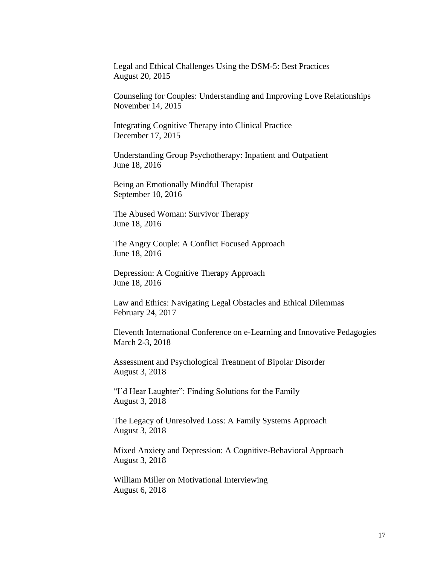Legal and Ethical Challenges Using the DSM-5: Best Practices August 20, 2015

Counseling for Couples: Understanding and Improving Love Relationships November 14, 2015

Integrating Cognitive Therapy into Clinical Practice December 17, 2015

Understanding Group Psychotherapy: Inpatient and Outpatient June 18, 2016

Being an Emotionally Mindful Therapist September 10, 2016

The Abused Woman: Survivor Therapy June 18, 2016

The Angry Couple: A Conflict Focused Approach June 18, 2016

Depression: A Cognitive Therapy Approach June 18, 2016

Law and Ethics: Navigating Legal Obstacles and Ethical Dilemmas February 24, 2017

Eleventh International Conference on e-Learning and Innovative Pedagogies March 2-3, 2018

Assessment and Psychological Treatment of Bipolar Disorder August 3, 2018

"I'd Hear Laughter": Finding Solutions for the Family August 3, 2018

The Legacy of Unresolved Loss: A Family Systems Approach August 3, 2018

Mixed Anxiety and Depression: A Cognitive-Behavioral Approach August 3, 2018

William Miller on Motivational Interviewing August 6, 2018